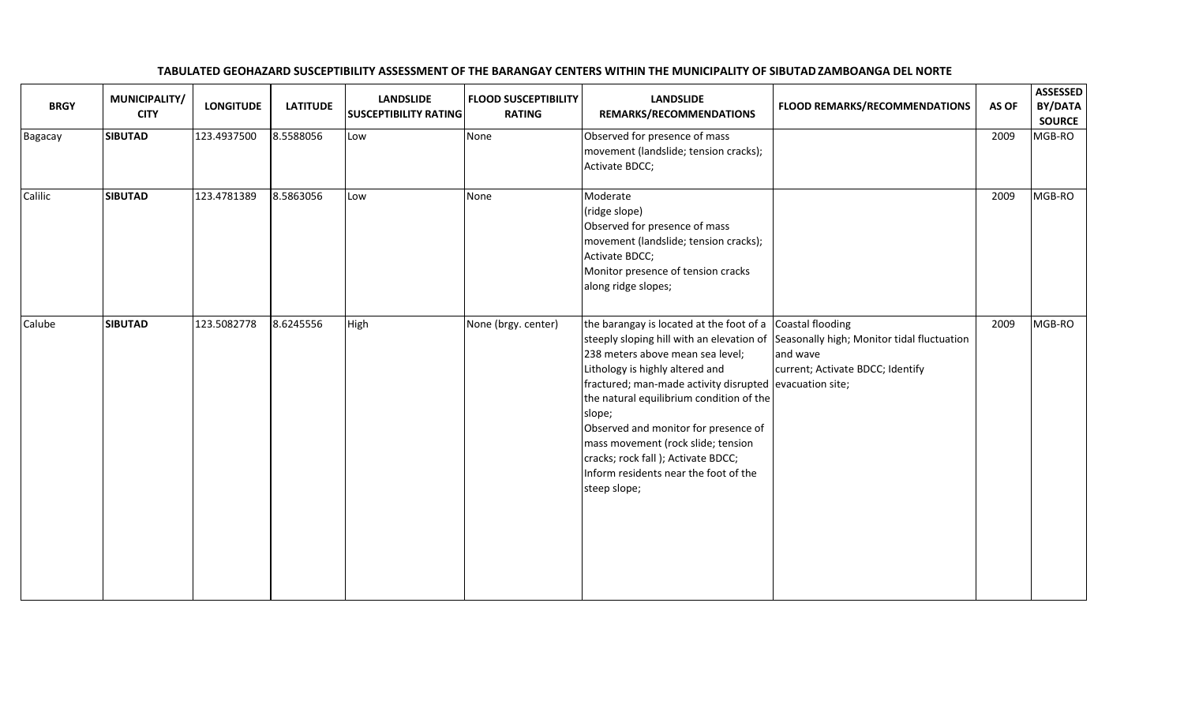| <b>BRGY</b> | MUNICIPALITY/<br><b>CITY</b> | <b>LONGITUDE</b> | <b>LATITUDE</b> | <b>LANDSLIDE</b><br><b>SUSCEPTIBILITY RATING</b> | <b>FLOOD SUSCEPTIBILITY</b><br><b>RATING</b> | <b>LANDSLIDE</b><br>REMARKS/RECOMMENDATIONS                                                                                                                                                                                                                                                                                                                                                                                                                                         | <b>FLOOD REMARKS/RECOMMENDATIONS</b>                                                       | AS OF | <b>ASSESSED</b><br>BY/DATA<br><b>SOURCE</b> |
|-------------|------------------------------|------------------|-----------------|--------------------------------------------------|----------------------------------------------|-------------------------------------------------------------------------------------------------------------------------------------------------------------------------------------------------------------------------------------------------------------------------------------------------------------------------------------------------------------------------------------------------------------------------------------------------------------------------------------|--------------------------------------------------------------------------------------------|-------|---------------------------------------------|
| Bagacay     | <b>SIBUTAD</b>               | 123.4937500      | 8.5588056       | Low                                              | None                                         | Observed for presence of mass<br>movement (landslide; tension cracks);<br>Activate BDCC;                                                                                                                                                                                                                                                                                                                                                                                            |                                                                                            | 2009  | MGB-RO                                      |
| Calilic     | <b>SIBUTAD</b>               | 123.4781389      | 8.5863056       | Low                                              | None                                         | Moderate<br>(ridge slope)<br>Observed for presence of mass<br>movement (landslide; tension cracks);<br>Activate BDCC;<br>Monitor presence of tension cracks<br>along ridge slopes;                                                                                                                                                                                                                                                                                                  |                                                                                            | 2009  | MGB-RO                                      |
| Calube      | <b>SIBUTAD</b>               | 123.5082778      | 8.6245556       | High                                             | None (brgy. center)                          | the barangay is located at the foot of a $\vert$ Coastal flooding<br>steeply sloping hill with an elevation of<br>238 meters above mean sea level;<br>Lithology is highly altered and<br>fractured; man-made activity disrupted evacuation site;<br>the natural equilibrium condition of the<br>slope;<br>Observed and monitor for presence of<br>mass movement (rock slide; tension<br>cracks; rock fall); Activate BDCC;<br>Inform residents near the foot of the<br>steep slope; | Seasonally high; Monitor tidal fluctuation<br>and wave<br>current; Activate BDCC; Identify | 2009  | MGB-RO                                      |

## TABULATED GEOHAZARD SUSCEPTIBILITY ASSESSMENT OF THE BARANGAY CENTERS WITHIN THE MUNICIPALITY OF SIBUTAD ZAMBOANGA DEL NORTE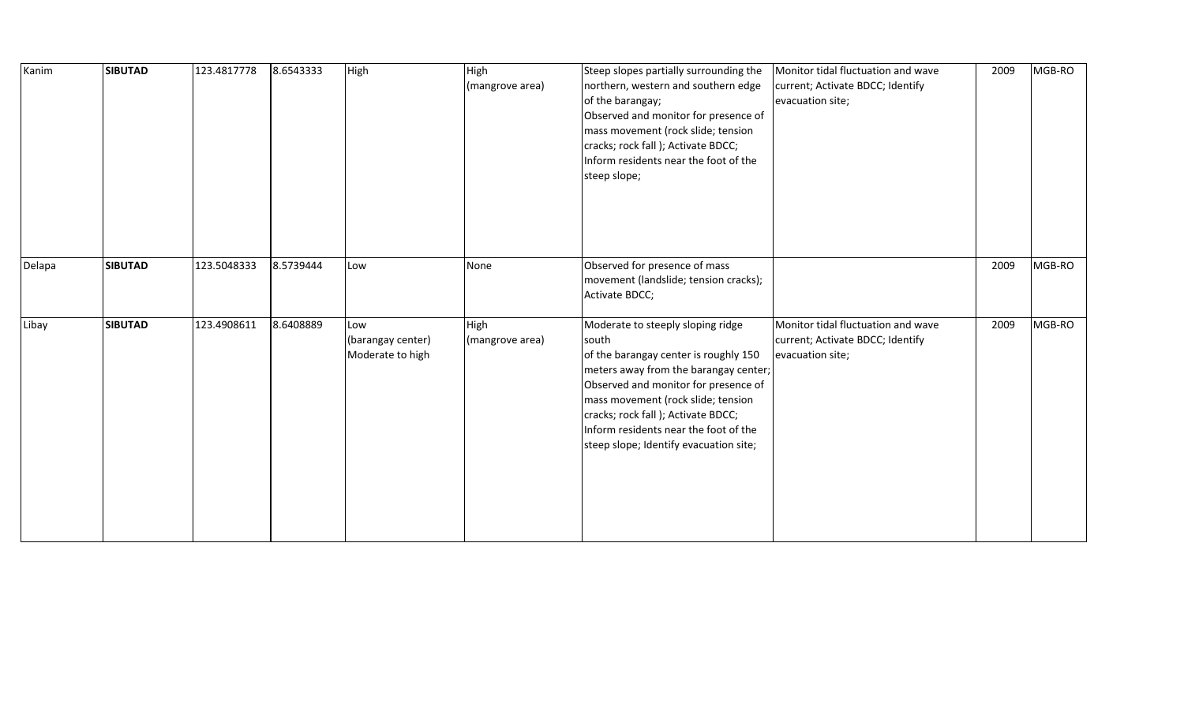| Kanim  | <b>SIBUTAD</b> | 123.4817778 | 8.6543333 | High                                         | High<br>(mangrove area) | Steep slopes partially surrounding the<br>northern, western and southern edge<br>of the barangay;<br>Observed and monitor for presence of<br>mass movement (rock slide; tension<br>cracks; rock fall); Activate BDCC;<br>Inform residents near the foot of the<br>steep slope;                                                      | Monitor tidal fluctuation and wave<br>current; Activate BDCC; Identify<br>evacuation site; | 2009 | MGB-RO |
|--------|----------------|-------------|-----------|----------------------------------------------|-------------------------|-------------------------------------------------------------------------------------------------------------------------------------------------------------------------------------------------------------------------------------------------------------------------------------------------------------------------------------|--------------------------------------------------------------------------------------------|------|--------|
| Delapa | <b>SIBUTAD</b> | 123.5048333 | 8.5739444 | Low                                          | None                    | Observed for presence of mass<br>movement (landslide; tension cracks);<br>Activate BDCC;                                                                                                                                                                                                                                            |                                                                                            | 2009 | MGB-RO |
| Libay  | <b>SIBUTAD</b> | 123.4908611 | 8.6408889 | Low<br>(barangay center)<br>Moderate to high | High<br>(mangrove area) | Moderate to steeply sloping ridge<br>south<br>of the barangay center is roughly 150<br>meters away from the barangay center;<br>Observed and monitor for presence of<br>mass movement (rock slide; tension<br>cracks; rock fall); Activate BDCC;<br>Inform residents near the foot of the<br>steep slope; Identify evacuation site; | Monitor tidal fluctuation and wave<br>current; Activate BDCC; Identify<br>evacuation site; | 2009 | MGB-RO |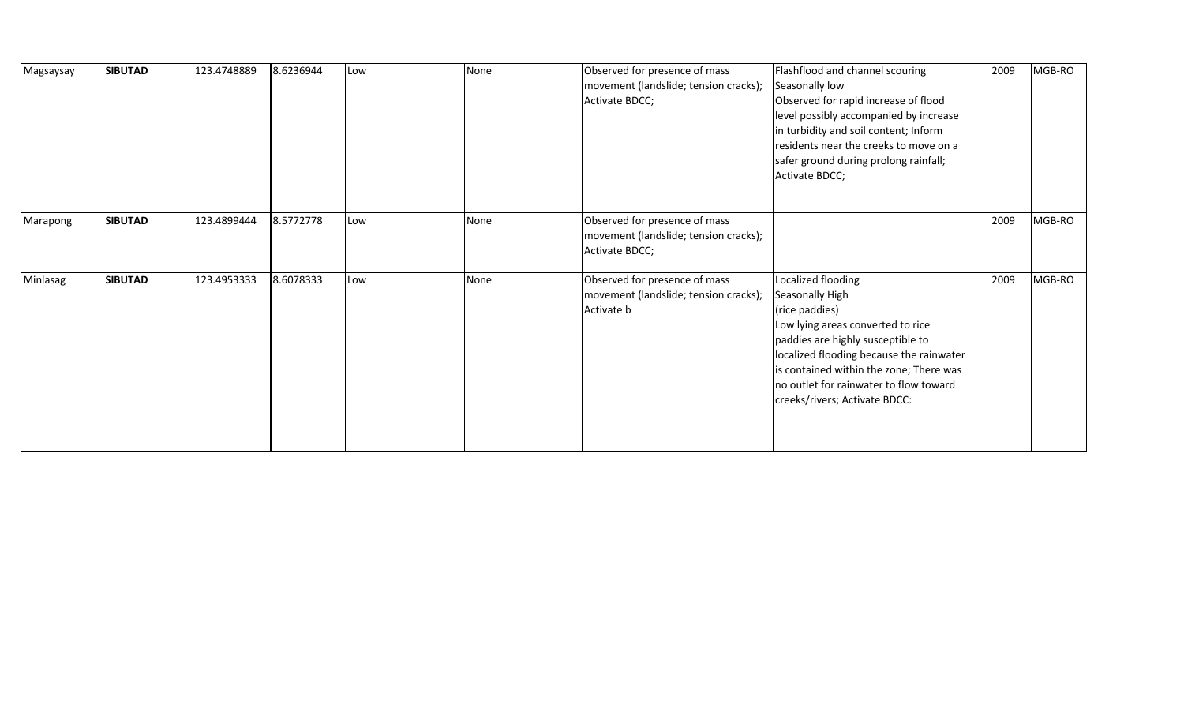| Magsaysay | <b>SIBUTAD</b> | 123.4748889 | 8.6236944 | Low | None | Observed for presence of mass<br>movement (landslide; tension cracks);<br>Activate BDCC; | Flashflood and channel scouring<br>Seasonally low<br>Observed for rapid increase of flood<br>level possibly accompanied by increase<br>in turbidity and soil content; Inform<br>residents near the creeks to move on a<br>safer ground during prolong rainfall;<br>Activate BDCC;                   | 2009 | MGB-RO |
|-----------|----------------|-------------|-----------|-----|------|------------------------------------------------------------------------------------------|-----------------------------------------------------------------------------------------------------------------------------------------------------------------------------------------------------------------------------------------------------------------------------------------------------|------|--------|
| Marapong  | <b>SIBUTAD</b> | 123.4899444 | 8.5772778 | Low | None | Observed for presence of mass<br>movement (landslide; tension cracks);<br>Activate BDCC; |                                                                                                                                                                                                                                                                                                     | 2009 | MGB-RO |
| Minlasag  | <b>SIBUTAD</b> | 123.4953333 | 8.6078333 | Low | None | Observed for presence of mass<br>movement (landslide; tension cracks);<br>Activate b     | Localized flooding<br>Seasonally High<br>(rice paddies)<br>Low lying areas converted to rice<br>paddies are highly susceptible to<br>localized flooding because the rainwater<br>is contained within the zone; There was<br>no outlet for rainwater to flow toward<br>creeks/rivers; Activate BDCC: | 2009 | MGB-RO |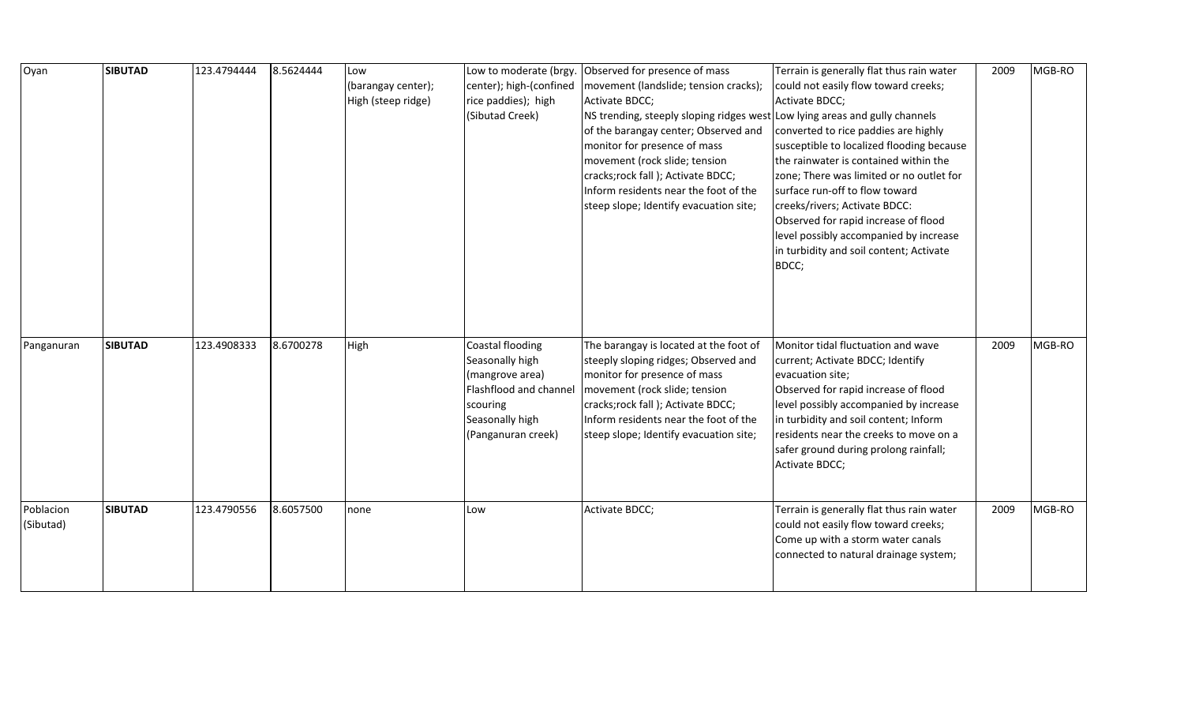| Oyan                   | <b>SIBUTAD</b> | 123.4794444 | 8.5624444 | Low<br>(barangay center);<br>High (steep ridge) | Low to moderate (brgy.<br>center); high-(confined<br>rice paddies); high<br>(Sibutad Creek)                                           | Observed for presence of mass<br>movement (landslide; tension cracks);<br>Activate BDCC;<br>NS trending, steeply sloping ridges west Low lying areas and gully channels<br>of the barangay center; Observed and<br>monitor for presence of mass<br>movement (rock slide; tension<br>cracks; rock fall ); Activate BDCC;<br>Inform residents near the foot of the<br>steep slope; Identify evacuation site; | Terrain is generally flat thus rain water<br>could not easily flow toward creeks;<br>Activate BDCC;<br>converted to rice paddies are highly<br>susceptible to localized flooding because<br>the rainwater is contained within the<br>zone; There was limited or no outlet for<br>surface run-off to flow toward<br>creeks/rivers; Activate BDCC:<br>Observed for rapid increase of flood<br>level possibly accompanied by increase<br>in turbidity and soil content; Activate<br>BDCC; | 2009 | MGB-RO |
|------------------------|----------------|-------------|-----------|-------------------------------------------------|---------------------------------------------------------------------------------------------------------------------------------------|------------------------------------------------------------------------------------------------------------------------------------------------------------------------------------------------------------------------------------------------------------------------------------------------------------------------------------------------------------------------------------------------------------|----------------------------------------------------------------------------------------------------------------------------------------------------------------------------------------------------------------------------------------------------------------------------------------------------------------------------------------------------------------------------------------------------------------------------------------------------------------------------------------|------|--------|
| Panganuran             | <b>SIBUTAD</b> | 123.4908333 | 8.6700278 | High                                            | Coastal flooding<br>Seasonally high<br>(mangrove area)<br>Flashflood and channel<br>scouring<br>Seasonally high<br>(Panganuran creek) | The barangay is located at the foot of<br>steeply sloping ridges; Observed and<br>monitor for presence of mass<br>movement (rock slide; tension<br>cracks; rock fall); Activate BDCC;<br>Inform residents near the foot of the<br>steep slope; Identify evacuation site;                                                                                                                                   | Monitor tidal fluctuation and wave<br>current; Activate BDCC; Identify<br>evacuation site;<br>Observed for rapid increase of flood<br>level possibly accompanied by increase<br>in turbidity and soil content; Inform<br>residents near the creeks to move on a<br>safer ground during prolong rainfall;<br>Activate BDCC;                                                                                                                                                             | 2009 | MGB-RO |
| Poblacion<br>(Sibutad) | <b>SIBUTAD</b> | 123.4790556 | 8.6057500 | none                                            | Low                                                                                                                                   | Activate BDCC;                                                                                                                                                                                                                                                                                                                                                                                             | Terrain is generally flat thus rain water<br>could not easily flow toward creeks;<br>Come up with a storm water canals<br>connected to natural drainage system;                                                                                                                                                                                                                                                                                                                        | 2009 | MGB-RO |